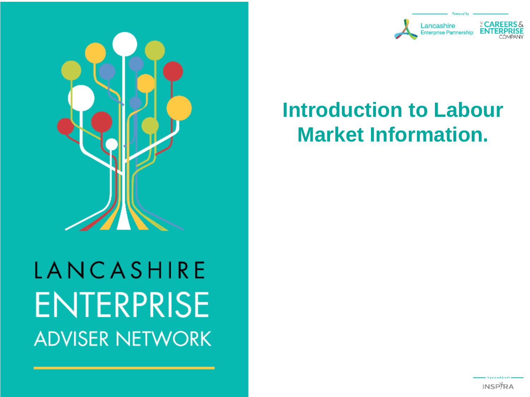

# LANCASHIRE **ENTERPRISE ADVISER NETWORK**



announced buy

#### **Introduction to Labour Market Information.**

**INSPTRA**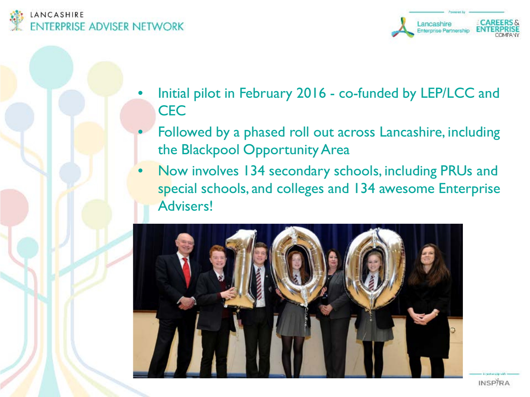



- Initial pilot in February 2016 co-funded by LEP/LCC and **CEC** 
	- Followed by a phased roll out across Lancashire, including the Blackpool Opportunity Area
- Now involves 134 secondary schools, including PRUs and special schools, and colleges and 134 awesome Enterprise Advisers!



**INSPIRA**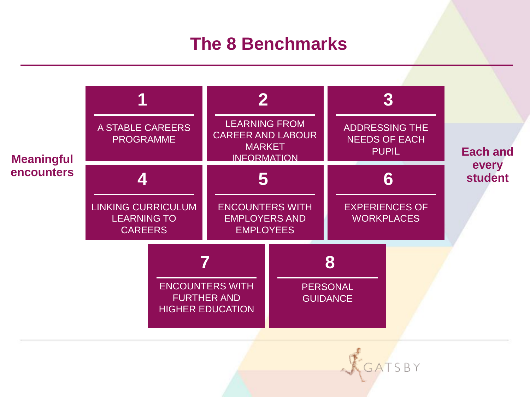#### **The 8 Benchmarks**



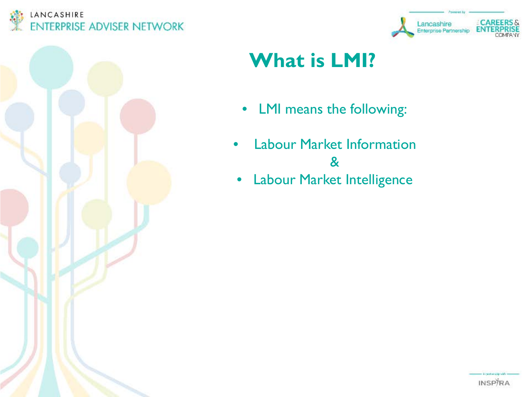





### **What is LMI?**

- LMI means the following:
- **Labour Market Information** &
- Labour Market Intelligence

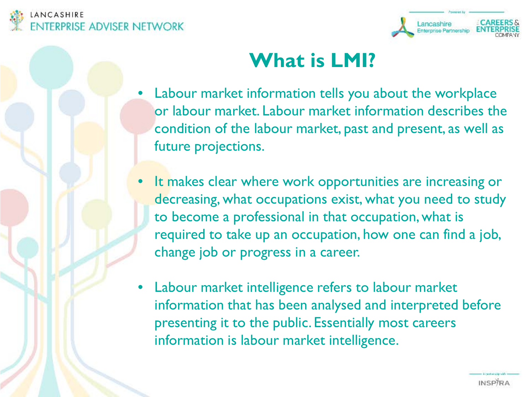



#### **What is LMI?**

- Labour market information tells you about the workplace or labour market. Labour market information describes the condition of the labour market, past and present, as well as future projections.
- It makes clear where work opportunities are increasing or decreasing, what occupations exist, what you need to study to become a professional in that occupation, what is required to take up an occupation, how one can find a job, change job or progress in a career.
- Labour market intelligence refers to labour market information that has been analysed and interpreted before presenting it to the public. Essentially most careers information is labour market intelligence.

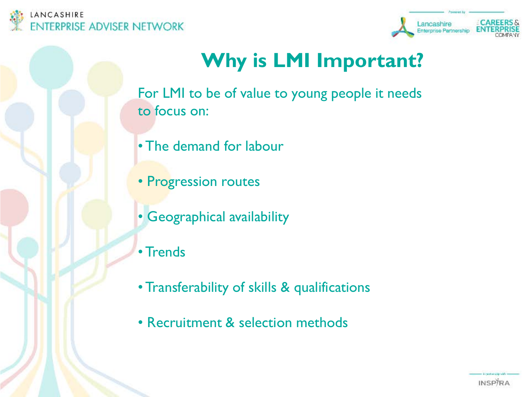



## **Why is LMI Important?**

For LMI to be of value to young people it needs to focus on:

- The demand for labour
- Progression routes
- Geographical availability
- Trends
- Transferability of skills & qualifications
- Recruitment & selection methods

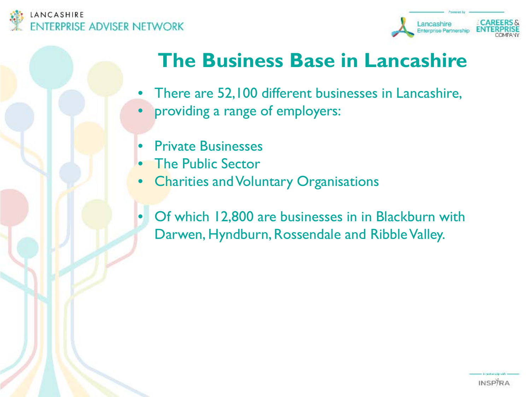



#### **The Business Base in Lancashire**

- There are 52,100 different businesses in Lancashire,
- providing a range of employers:
- Private Businesses
- **The Public Sector**
- Charities and Voluntary Organisations
- Of which 12,800 are businesses in in Blackburn with Darwen, Hyndburn, Rossendale and Ribble Valley.

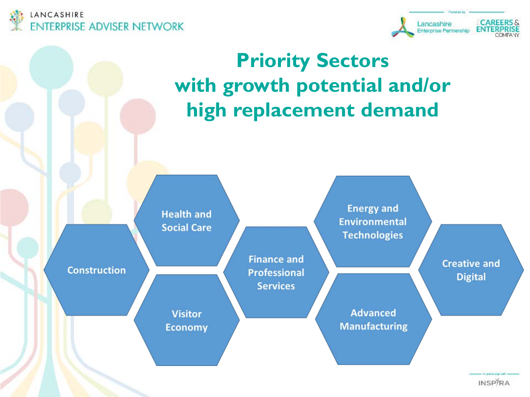





**INSPIRA**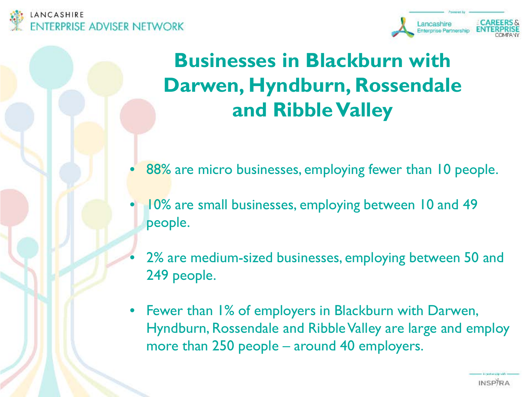



#### **Businesses in Blackburn with Darwen, Hyndburn, Rossendale and RibbleValley**

- 88% are micro businesses, employing fewer than 10 people.
- 10% are small businesses, employing between 10 and 49 people.
- 2% are medium-sized businesses, employing between 50 and 249 people.
- Fewer than 1% of employers in Blackburn with Darwen, Hyndburn, Rossendale and Ribble Valley are large and employ more than 250 people – around 40 employers.